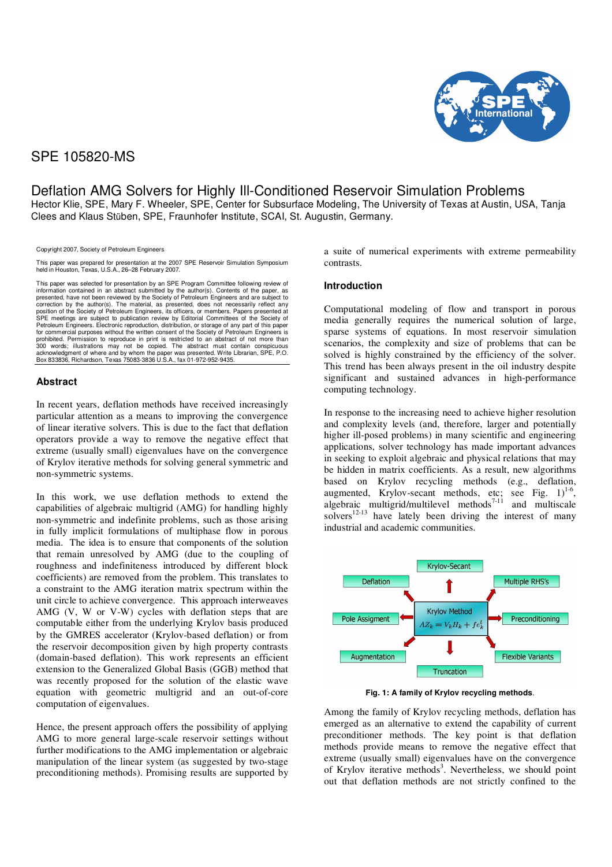

# SPE 105820-MS

Deflation AMG Solvers for Highly Ill-Conditioned Reservoir Simulation Problems Hector Klie, SPE, Mary F. Wheeler, SPE, Center for Subsurface Modeling, The University of Texas at Austin, USA, Tanja

Copyright 2007, Society of Petroleum Engineers

This paper was prepared for presentation at the 2007 SPE Reservoir Simulation Symposium held in Houston, Texas, U.S.A., 26–28 February 2007.

Clees and Klaus Stüben, SPE, Fraunhofer Institute, SCAI, St. Augustin, Germany.

This paper was selected for presentation by an SPE Program Committee following review of information contained in an abstract submitted by the author(s). Contents of the paper, as presented, have not been reviewed by the Society of Petroleum Engineers and are subject to correction by the author(s). The material, as presented, does not necessarily reflect any position of the Society of Petroleum Engineers, its officers, or members. Papers presented at SPE meetings are subject to publication review by Editorial Committees of the Society of Petroleum Engineers. Electronic reproduction, distribution, or storage of any part of this paper for commercial purposes without the written consent of the Society of Petroleum Engineers is prohibited. Permission to reproduce in print is restricted to an abstract of not more than<br>300 words; illustrations may not be copied. The abstract must contain conspicuous<br>acknowledgment of where and by whom the paper was

# **Abstract**

In recent years, deflation methods have received increasingly particular attention as a means to improving the convergence of linear iterative solvers. This is due to the fact that deflation operators provide a way to remove the negative effect that extreme (usually small) eigenvalues have on the convergence of Krylov iterative methods for solving general symmetric and non-symmetric systems.

In this work, we use deflation methods to extend the capabilities of algebraic multigrid (AMG) for handling highly non-symmetric and indefinite problems, such as those arising in fully implicit formulations of multiphase flow in porous media. The idea is to ensure that components of the solution that remain unresolved by AMG (due to the coupling of roughness and indefiniteness introduced by different block coefficients) are removed from the problem. This translates to a constraint to the AMG iteration matrix spectrum within the unit circle to achieve convergence. This approach interweaves AMG (V, W or V-W) cycles with deflation steps that are computable either from the underlying Krylov basis produced by the GMRES accelerator (Krylov-based deflation) or from the reservoir decomposition given by high property contrasts (domain-based deflation). This work represents an efficient extension to the Generalized Global Basis (GGB) method that was recently proposed for the solution of the elastic wave equation with geometric multigrid and an out-of-core computation of eigenvalues.

Hence, the present approach offers the possibility of applying AMG to more general large-scale reservoir settings without further modifications to the AMG implementation or algebraic manipulation of the linear system (as suggested by two-stage preconditioning methods). Promising results are supported by

a suite of numerical experiments with extreme permeability contrasts.

# **Introduction**

Computational modeling of flow and transport in porous media generally requires the numerical solution of large, sparse systems of equations. In most reservoir simulation scenarios, the complexity and size of problems that can be solved is highly constrained by the efficiency of the solver. This trend has been always present in the oil industry despite significant and sustained advances in high-performance computing technology.

In response to the increasing need to achieve higher resolution and complexity levels (and, therefore, larger and potentially higher ill-posed problems) in many scientific and engineering applications, solver technology has made important advances in seeking to exploit algebraic and physical relations that may be hidden in matrix coefficients. As a result, new algorithms based on Krylov recycling methods (e.g., deflation, augmented, Krylov-secant methods, etc; see Fig.  $1$ )<sup>1-6</sup>, algebraic multigrid/multilevel methods<sup>7-11</sup> and multiscale solvers $12-13$  have lately been driving the interest of many industrial and academic communities.



**Fig. 1: A family of Krylov recycling methods**.

Among the family of Krylov recycling methods, deflation has emerged as an alternative to extend the capability of current preconditioner methods. The key point is that deflation methods provide means to remove the negative effect that extreme (usually small) eigenvalues have on the convergence of Krylov iterative methods<sup>3</sup>. Nevertheless, we should point out that deflation methods are not strictly confined to the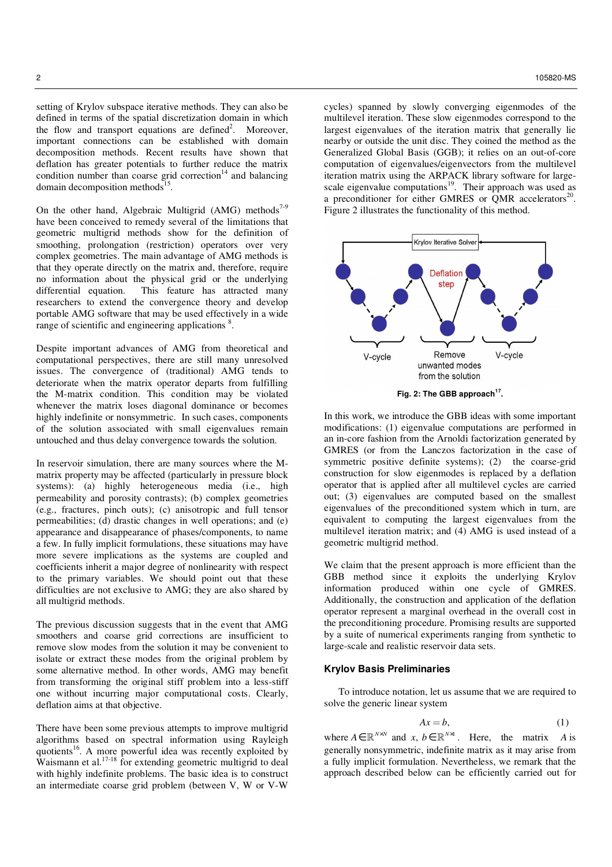setting of Krylov subspace iterative methods. They can also be defined in terms of the spatial discretization domain in which the flow and transport equations are defined<sup>2</sup>. Moreover, important connections can be established with domain decomposition methods. Recent results have shown that deflation has greater potentials to further reduce the matrix condition number than coarse grid correction<sup>14</sup> and balancing domain decomposition methods<sup>15</sup>.

On the other hand, Algebraic Multigrid (AMG) methods<sup>7-9</sup> have been conceived to remedy several of the limitations that geometric multigrid methods show for the definition of smoothing, prolongation (restriction) operators over very complex geometries. The main advantage of AMG methods is that they operate directly on the matrix and, therefore, require no information about the physical grid or the underlying differential equation. This feature has attracted many researchers to extend the convergence theory and develop portable AMG software that may be used effectively in a wide range of scientific and engineering applications  $\delta$ .

Despite important advances of AMG from theoretical and computational perspectives, there are still many unresolved issues. The convergence of (traditional) AMG tends to deteriorate when the matrix operator departs from fulfilling the M-matrix condition. This condition may be violated whenever the matrix loses diagonal dominance or becomes highly indefinite or nonsymmetric. In such cases, components of the solution associated with small eigenvalues remain untouched and thus delay convergence towards the solution.

In reservoir simulation, there are many sources where the Mmatrix property may be affected (particularly in pressure block systems): (a) highly heterogeneous media (i.e., high permeability and porosity contrasts); (b) complex geometries (e.g., fractures, pinch outs); (c) anisotropic and full tensor permeabilities; (d) drastic changes in well operations; and (e) appearance and disappearance of phases/components, to name a few. In fully implicit formulations, these situations may have more severe implications as the systems are coupled and coefficients inherit a major degree of nonlinearity with respect to the primary variables. We should point out that these difficulties are not exclusive to AMG; they are also shared by all multigrid methods.

The previous discussion suggests that in the event that AMG smoothers and coarse grid corrections are insufficient to remove slow modes from the solution it may be convenient to isolate or extract these modes from the original problem by some alternative method. In other words, AMG may benefit from transforming the original stiff problem into a less-stiff one without incurring major computational costs. Clearly, deflation aims at that objective.

There have been some previous attempts to improve multigrid algorithms based on spectral information using Rayleigh quotients<sup>16</sup>. A more powerful idea was recently exploited by Waismann et al.<sup>17-18</sup> for extending geometric multigrid to deal with highly indefinite problems. The basic idea is to construct an intermediate coarse grid problem (between V, W or V-W

 $2$  and  $2$  105820-MS  $\,$ 

cycles) spanned by slowly converging eigenmodes of the multilevel iteration. These slow eigenmodes correspond to the largest eigenvalues of the iteration matrix that generally lie nearby or outside the unit disc. They coined the method as the Generalized Global Basis (GGB); it relies on an out-of-core computation of eigenvalues/eigenvectors from the multilevel iteration matrix using the ARPACK library software for largescale eigenvalue computations<sup>19</sup>. Their approach was used as a preconditioner for either GMRES or QMR accelerators<sup>20</sup>. Figure 2 illustrates the functionality of this method.



In this work, we introduce the GBB ideas with some important modifications: (1) eigenvalue computations are performed in an in-core fashion from the Arnoldi factorization generated by GMRES (or from the Lanczos factorization in the case of symmetric positive definite systems); (2) the coarse-grid construction for slow eigenmodes is replaced by a deflation operator that is applied after all multilevel cycles are carried out; (3) eigenvalues are computed based on the smallest eigenvalues of the preconditioned system which in turn, are equivalent to computing the largest eigenvalues from the multilevel iteration matrix; and (4) AMG is used instead of a geometric multigrid method.

We claim that the present approach is more efficient than the GBB method since it exploits the underlying Krylov information produced within one cycle of GMRES. Additionally, the construction and application of the deflation operator represent a marginal overhead in the overall cost in the preconditioning procedure. Promising results are supported by a suite of numerical experiments ranging from synthetic to large-scale and realistic reservoir data sets.

# **Krylov Basis Preliminaries**

To introduce notation, let us assume that we are required to solve the generic linear system

$$
Ax = b,\tag{1}
$$

where  $A \in \mathbb{R}^{N \times N}$  and  $x, b \in \mathbb{R}^{N \times 1}$ . Here, the matrix *A* is generally nonsymmetric, indefinite matrix as it may arise from a fully implicit formulation. Nevertheless, we remark that the approach described below can be efficiently carried out for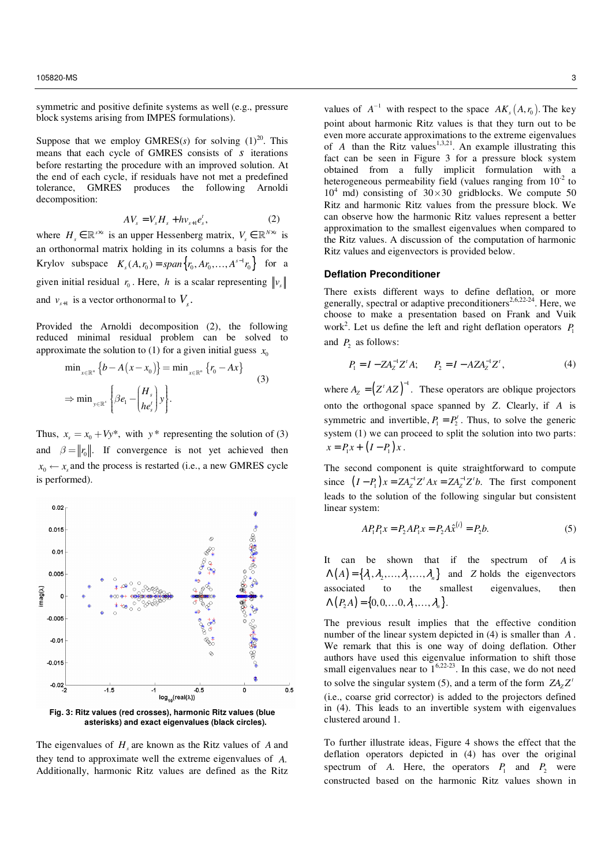symmetric and positive definite systems as well (e.g., pressure block systems arising from IMPES formulations).

Suppose that we employ GMRES( $s$ ) for solving  $(1)^{20}$ . This means that each cycle of GMRES consists of *s* iterations before restarting the procedure with an improved solution. At the end of each cycle, if residuals have not met a predefined tolerance, GMRES produces the following Arnoldi decomposition:

$$
AV_s = V_s H_s + h v_{s+1} e'_s, \t\t(2)
$$

where  $H_s \in \mathbb{R}^{s \times s}$  is an upper Hessenberg matrix,  $V_s \in \mathbb{R}^{N \times s}$  is an orthonormal matrix holding in its columns a basis for the Krylov subspace  $K_s(A, r_0) = span{r_0, Ar_0, ..., A^{s-1}r_0}$  for a given initial residual  $r_0$ . Here, *h* is a scalar representing  $\Vert v_s \Vert$ and  $v_{s+1}$  is a vector orthonormal to  $V_s$ .

Provided the Arnoldi decomposition (2), the following reduced minimal residual problem can be solved to approximate the solution to (1) for a given initial guess  $x_0$ 

$$
\min_{x \in \mathbb{R}^n} \{b - A(x - x_0)\} = \min_{x \in \mathbb{R}^n} \{r_0 - Ax\}
$$
\n
$$
\Rightarrow \min_{y \in \mathbb{R}^s} \left\{\beta e_1 - \left(\frac{H_s}{he'_s}\right)y\right\}.
$$
\n(3)

Thus,  $x_s = x_0 + Vy^*$ , with  $y^*$  representing the solution of (3) and  $\beta = ||r_0||$ . If convergence is not yet achieved then  $x_0 \leftarrow x_s$  and the process is restarted (i.e., a new GMRES cycle is performed).





The eigenvalues of *H<sup>s</sup>* are known as the Ritz values of *A* and they tend to approximate well the extreme eigenvalues of *A*. Additionally, harmonic Ritz values are defined as the Ritz

values of  $A^{-1}$  with respect to the space  $AK_s(A, r_0)$ . The key point about harmonic Ritz values is that they turn out to be even more accurate approximations to the extreme eigenvalues of *A* than the Ritz values<sup>1,3,21</sup>. An example illustrating this fact can be seen in Figure 3 for a pressure block system obtained from a fully implicit formulation with a heterogeneous permeability field (values ranging from  $10^{-2}$  to  $10<sup>4</sup>$  md) consisting of  $30 \times 30$  gridblocks. We compute 50 Ritz and harmonic Ritz values from the pressure block. We can observe how the harmonic Ritz values represent a better approximation to the smallest eigenvalues when compared to the Ritz values. A discussion of the computation of harmonic Ritz values and eigenvectors is provided below.

## **Deflation Preconditioner**

There exists different ways to define deflation, or more generally, spectral or adaptive preconditioners<sup>2,6,22-24</sup>. Here, we choose to make a presentation based on Frank and Vuik work<sup>2</sup>. Let us define the left and right deflation operators  $P_1$ and  $P_2$  as follows:

$$
P_1 = I - Z A_Z^{-1} Z^t A; \qquad P_2 = I - A Z A_Z^{-1} Z^t,
$$
\n(4)

where  $A_z = (Z^t A Z)^{-1}$ . These operators are oblique projectors onto the orthogonal space spanned by *Z*. Clearly, if *A* is symmetric and invertible,  $P_1 = P_2^t$ . Thus, to solve the generic system (1) we can proceed to split the solution into two parts:  $x = P_1 x + (I - P_1) x$ .

The second component is quite straightforward to compute since  $(I - P_1)x = ZA_Z^{-1}Z^t Ax = ZA_Z^{-1}Z^t b$ . The first component leads to the solution of the following singular but consistent linear system:

$$
AP_1P_1x = P_2AP_1x = P_2A\hat{x}^{(i)} = P_2b.
$$
 (5)

It can be shown that if the spectrum of *A* is  $\Lambda(A) = \{ \lambda_1, \lambda_2, ..., \lambda_n, ..., \lambda_n \}$  and *Z* holds the eigenvectors associated to the smallest eigenvalues, then  $\Lambda(P,A) = \{0,0,\ldots, 0, \lambda_1,\ldots,\lambda_n\}.$ 

The previous result implies that the effective condition number of the linear system depicted in (4) is smaller than *A* . We remark that this is one way of doing deflation. Other authors have used this eigenvalue information to shift those small eigenvalues near to  $1^{6,22-23}$ . In this case, we do not need to solve the singular system (5), and a term of the form  $ZA_ZZ'$ (i.e., coarse grid corrector) is added to the projectors defined in (4). This leads to an invertible system with eigenvalues clustered around 1.

To further illustrate ideas, Figure 4 shows the effect that the deflation operators depicted in (4) has over the original spectrum of *A*. Here, the operators  $P_1$  and  $P_2$  were constructed based on the harmonic Ritz values shown in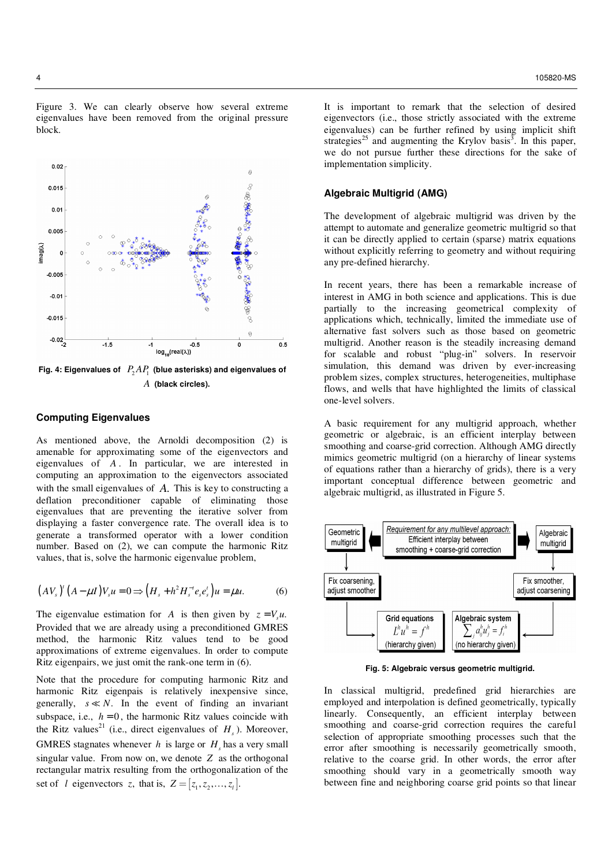Figure 3. We can clearly observe how several extreme eigenvalues have been removed from the original pressure block.



Fig. 4: Eigenvalues of  $P_2AP_1$  (blue asterisks) and eigenvalues of *A* **(black circles).** 

## **Computing Eigenvalues**

As mentioned above, the Arnoldi decomposition (2) is amenable for approximating some of the eigenvectors and eigenvalues of *A* . In particular, we are interested in computing an approximation to the eigenvectors associated with the small eigenvalues of *A*. This is key to constructing a deflation preconditioner capable of eliminating those eigenvalues that are preventing the iterative solver from displaying a faster convergence rate. The overall idea is to generate a transformed operator with a lower condition number. Based on (2), we can compute the harmonic Ritz values, that is, solve the harmonic eigenvalue problem,

$$
(AVs)' (A - \mu I)Vs u = 0 \Longrightarrow (Hs + h2 Hs-t es est) u = \mu u.
$$
 (6)

The eigenvalue estimation for *A* is then given by  $z = V_s u$ . Provided that we are already using a preconditioned GMRES method, the harmonic Ritz values tend to be good approximations of extreme eigenvalues. In order to compute Ritz eigenpairs, we just omit the rank-one term in (6).

Note that the procedure for computing harmonic Ritz and harmonic Ritz eigenpais is relatively inexpensive since, generally,  $s \ll N$ . In the event of finding an invariant subspace, i.e.,  $h = 0$ , the harmonic Ritz values coincide with the Ritz values<sup>21</sup> (i.e., direct eigenvalues of  $H<sub>s</sub>$ ). Moreover, GMRES stagnates whenever  $h$  is large or  $H_s$  has a very small singular value. From now on, we denote *Z* as the orthogonal rectangular matrix resulting from the orthogonalization of the set of *l* eigenvectors *z*, that is,  $Z = [z_1, z_2, \dots, z_r].$ 

It is important to remark that the selection of desired eigenvectors (i.e., those strictly associated with the extreme eigenvalues) can be further refined by using implicit shift strategies<sup>25</sup> and augmenting the Krylov basis<sup>3</sup>. In this paper, we do not pursue further these directions for the sake of implementation simplicity.

## **Algebraic Multigrid (AMG)**

The development of algebraic multigrid was driven by the attempt to automate and generalize geometric multigrid so that it can be directly applied to certain (sparse) matrix equations without explicitly referring to geometry and without requiring any pre-defined hierarchy.

In recent years, there has been a remarkable increase of interest in AMG in both science and applications. This is due partially to the increasing geometrical complexity of applications which, technically, limited the immediate use of alternative fast solvers such as those based on geometric multigrid. Another reason is the steadily increasing demand for scalable and robust "plug-in" solvers. In reservoir simulation, this demand was driven by ever-increasing problem sizes, complex structures, heterogeneities, multiphase flows, and wells that have highlighted the limits of classical one-level solvers.

A basic requirement for any multigrid approach, whether geometric or algebraic, is an efficient interplay between smoothing and coarse-grid correction. Although AMG directly mimics geometric multigrid (on a hierarchy of linear systems of equations rather than a hierarchy of grids), there is a very important conceptual difference between geometric and algebraic multigrid, as illustrated in Figure 5.



**Fig. 5: Algebraic versus geometric multigrid.** 

In classical multigrid, predefined grid hierarchies are employed and interpolation is defined geometrically, typically linearly. Consequently, an efficient interplay between smoothing and coarse-grid correction requires the careful selection of appropriate smoothing processes such that the error after smoothing is necessarily geometrically smooth, relative to the coarse grid. In other words, the error after smoothing should vary in a geometrically smooth way between fine and neighboring coarse grid points so that linear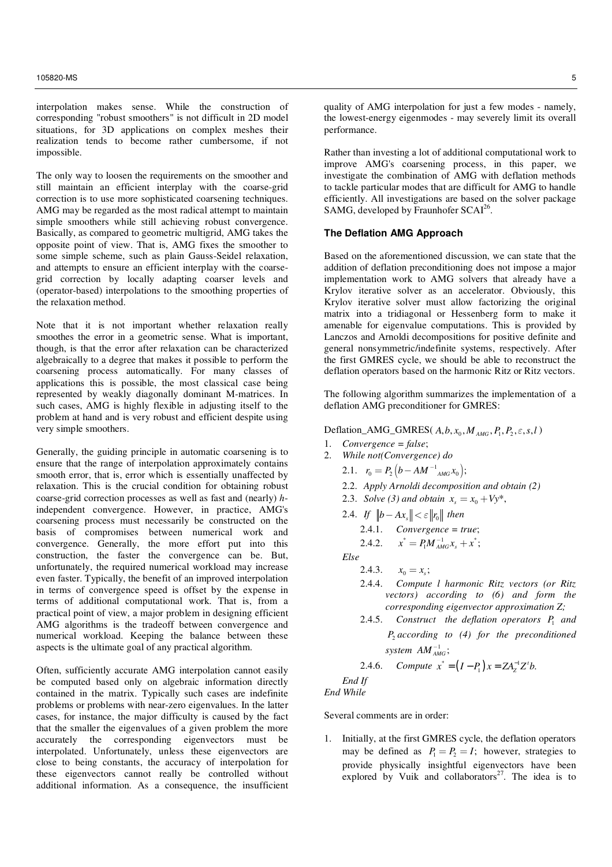interpolation makes sense. While the construction of corresponding "robust smoothers" is not difficult in 2D model situations, for 3D applications on complex meshes their realization tends to become rather cumbersome, if not impossible.

The only way to loosen the requirements on the smoother and still maintain an efficient interplay with the coarse-grid correction is to use more sophisticated coarsening techniques. AMG may be regarded as the most radical attempt to maintain simple smoothers while still achieving robust convergence. Basically, as compared to geometric multigrid, AMG takes the opposite point of view. That is, AMG fixes the smoother to some simple scheme, such as plain Gauss-Seidel relaxation, and attempts to ensure an efficient interplay with the coarsegrid correction by locally adapting coarser levels and (operator-based) interpolations to the smoothing properties of the relaxation method.

Note that it is not important whether relaxation really smoothes the error in a geometric sense. What is important, though, is that the error after relaxation can be characterized algebraically to a degree that makes it possible to perform the coarsening process automatically. For many classes of applications this is possible, the most classical case being represented by weakly diagonally dominant M-matrices. In such cases, AMG is highly flexible in adjusting itself to the problem at hand and is very robust and efficient despite using very simple smoothers.

Generally, the guiding principle in automatic coarsening is to ensure that the range of interpolation approximately contains smooth error, that is, error which is essentially unaffected by relaxation. This is the crucial condition for obtaining robust coarse-grid correction processes as well as fast and (nearly) *h*independent convergence. However, in practice, AMG's coarsening process must necessarily be constructed on the basis of compromises between numerical work and convergence. Generally, the more effort put into this construction, the faster the convergence can be. But, unfortunately, the required numerical workload may increase even faster. Typically, the benefit of an improved interpolation in terms of convergence speed is offset by the expense in terms of additional computational work. That is, from a practical point of view, a major problem in designing efficient AMG algorithms is the tradeoff between convergence and numerical workload. Keeping the balance between these aspects is the ultimate goal of any practical algorithm.

Often, sufficiently accurate AMG interpolation cannot easily be computed based only on algebraic information directly contained in the matrix. Typically such cases are indefinite problems or problems with near-zero eigenvalues. In the latter cases, for instance, the major difficulty is caused by the fact that the smaller the eigenvalues of a given problem the more accurately the corresponding eigenvectors must be interpolated. Unfortunately, unless these eigenvectors are close to being constants, the accuracy of interpolation for these eigenvectors cannot really be controlled without additional information. As a consequence, the insufficient quality of AMG interpolation for just a few modes - namely, the lowest-energy eigenmodes - may severely limit its overall performance.

Rather than investing a lot of additional computational work to improve AMG's coarsening process, in this paper, we investigate the combination of AMG with deflation methods to tackle particular modes that are difficult for AMG to handle efficiently. All investigations are based on the solver package SAMG, developed by Fraunhofer SCAI<sup>26</sup>.

# **The Deflation AMG Approach**

Based on the aforementioned discussion, we can state that the addition of deflation preconditioning does not impose a major implementation work to AMG solvers that already have a Krylov iterative solver as an accelerator. Obviously, this Krylov iterative solver must allow factorizing the original matrix into a tridiagonal or Hessenberg form to make it amenable for eigenvalue computations. This is provided by Lanczos and Arnoldi decompositions for positive definite and general nonsymmetric/indefinite systems, respectively. After the first GMRES cycle, we should be able to reconstruct the deflation operators based on the harmonic Ritz or Ritz vectors.

The following algorithm summarizes the implementation of a deflation AMG preconditioner for GMRES:

### Deflation\_AMG\_GMRES( $A, b, x_0, M_{AMG}, P_1, P_2, \varepsilon, s, l$ )

- 1. *Convergence = false*;
- 2. *While not(Convergence) do* 
	- 2.1.  $r_0 = P_2 \left( b AM^{-1} \right)_{AMG} x_0$ ;

2.2. *Apply Arnoldi decomposition and obtain (2)*

- 2.3. *Solve* (3) and obtain  $x_s = x_0 + Vy^*$ ,
- 2.4. *If*  $||b Ax_s|| < \varepsilon ||r_0||$  then

$$
2.4.1. \qquad Convergence = true;
$$

2.4.2. 
$$
x^* = P_1 M_{AMG}^{-1} x_s + x^*;
$$

*Else* 

- 2.4.3.  $x_0 = x_s;$
- 2.4.4. *Compute l harmonic Ritz vectors (or Ritz vectors) according to (6) and form the corresponding eigenvector approximation Z;*
- 2.4.5. *Construct the deflation operators*  $P_1$  and *P*2 *according to (4) for the preconditioned system*  $AM<sup>−1</sup><sub>AMG</sub>$ ;

2.4.6. *Compute*  $x^* = (I - P_1)x = ZA_Z^{-1}Z^t b$ .

*End If* 

*End While*

Several comments are in order:

1. Initially, at the first GMRES cycle, the deflation operators may be defined as  $P_1 = P_2 = I$ ; however, strategies to provide physically insightful eigenvectors have been explored by Vuik and collaborators $2^7$ . The idea is to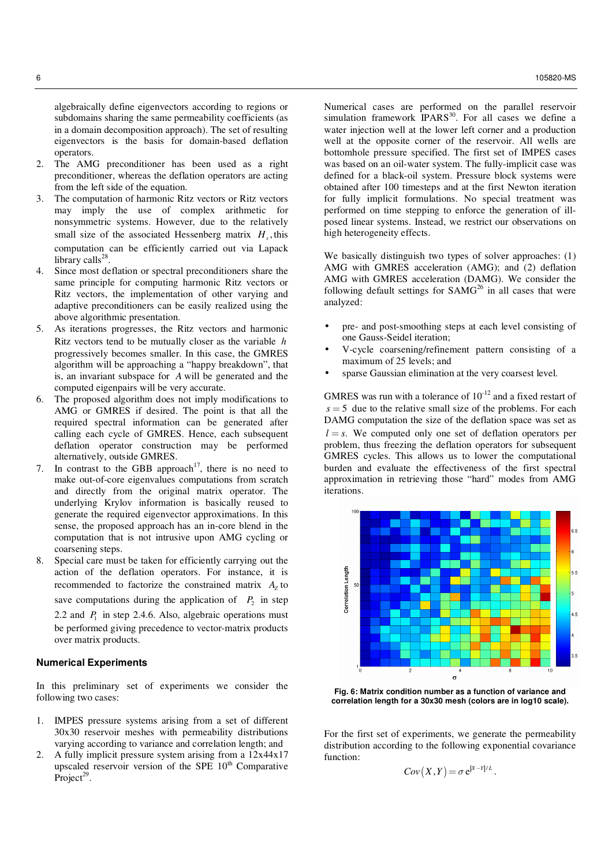algebraically define eigenvectors according to regions or subdomains sharing the same permeability coefficients (as in a domain decomposition approach). The set of resulting eigenvectors is the basis for domain-based deflation operators.

- 2. The AMG preconditioner has been used as a right preconditioner, whereas the deflation operators are acting from the left side of the equation.
- 3. The computation of harmonic Ritz vectors or Ritz vectors may imply the use of complex arithmetic for nonsymmetric systems. However, due to the relatively small size of the associated Hessenberg matrix  $H_s$ , this computation can be efficiently carried out via Lapack library calls<sup>28</sup> .
- 4. Since most deflation or spectral preconditioners share the same principle for computing harmonic Ritz vectors or Ritz vectors, the implementation of other varying and adaptive preconditioners can be easily realized using the above algorithmic presentation.
- 5. As iterations progresses, the Ritz vectors and harmonic Ritz vectors tend to be mutually closer as the variable *h* progressively becomes smaller. In this case, the GMRES algorithm will be approaching a "happy breakdown", that is, an invariant subspace for *A* will be generated and the computed eigenpairs will be very accurate.
- 6. The proposed algorithm does not imply modifications to AMG or GMRES if desired. The point is that all the required spectral information can be generated after calling each cycle of GMRES. Hence, each subsequent deflation operator construction may be performed alternatively, outside GMRES.
- 7. In contrast to the GBB approach<sup>17</sup>, there is no need to make out-of-core eigenvalues computations from scratch and directly from the original matrix operator. The underlying Krylov information is basically reused to generate the required eigenvector approximations. In this sense, the proposed approach has an in-core blend in the computation that is not intrusive upon AMG cycling or coarsening steps.
- 8. Special care must be taken for efficiently carrying out the action of the deflation operators. For instance, it is recommended to factorize the constrained matrix  $A<sub>Z</sub>$  to save computations during the application of  $P_2$  in step 2.2 and  $P_1$  in step 2.4.6. Also, algebraic operations must be performed giving precedence to vector-matrix products over matrix products.

## **Numerical Experiments**

In this preliminary set of experiments we consider the following two cases:

- 1. IMPES pressure systems arising from a set of different 30x30 reservoir meshes with permeability distributions varying according to variance and correlation length; and
- 2. A fully implicit pressure system arising from a 12x44x17 upscaled reservoir version of the SPE  $10<sup>th</sup>$  Comparative  $Project<sup>29</sup>$ .

Numerical cases are performed on the parallel reservoir simulation framework  $IPARS^{30}$ . For all cases we define a water injection well at the lower left corner and a production well at the opposite corner of the reservoir. All wells are bottomhole pressure specified. The first set of IMPES cases was based on an oil-water system. The fully-implicit case was defined for a black-oil system. Pressure block systems were obtained after 100 timesteps and at the first Newton iteration for fully implicit formulations. No special treatment was performed on time stepping to enforce the generation of illposed linear systems. Instead, we restrict our observations on high heterogeneity effects.

We basically distinguish two types of solver approaches: (1) AMG with GMRES acceleration (AMG); and (2) deflation AMG with GMRES acceleration (DAMG). We consider the following default settings for  $SAMG<sup>26</sup>$  in all cases that were analyzed:

- pre- and post-smoothing steps at each level consisting of one Gauss-Seidel iteration;
- V-cycle coarsening/refinement pattern consisting of a maximum of 25 levels; and
- sparse Gaussian elimination at the very coarsest level.

GMRES was run with a tolerance of  $10^{-12}$  and a fixed restart of  $s = 5$  due to the relative small size of the problems. For each DAMG computation the size of the deflation space was set as  $l = s$ . We computed only one set of deflation operators per problem, thus freezing the deflation operators for subsequent GMRES cycles. This allows us to lower the computational burden and evaluate the effectiveness of the first spectral approximation in retrieving those "hard" modes from AMG iterations.



**Fig. 6: Matrix condition number as a function of variance and correlation length for a 30x30 mesh (colors are in log10 scale).** 

For the first set of experiments, we generate the permeability distribution according to the following exponential covariance function:

$$
Cov(X,Y) = \sigma e^{|X-Y|/L}.
$$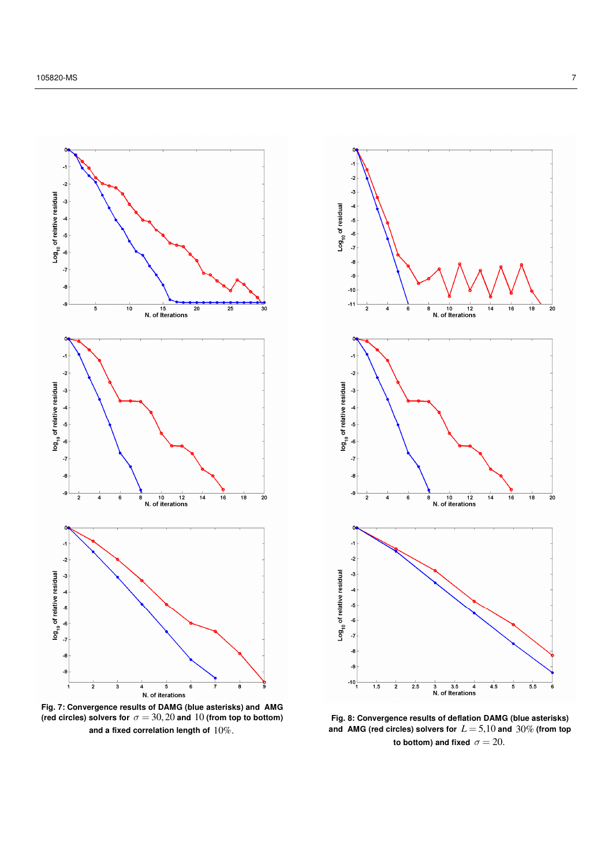

**Fig. 7: Convergence results of DAMG (blue asterisks) and AMG**  (red circles) solvers for  $\sigma = 30, 20$  and 10 (from top to bottom) **and a fixed correlation length of** 10%.



**Fig. 8: Convergence results of deflation DAMG (blue asterisks) and AMG (red circles) solvers for** *L* = 5,10 **and** 30% **(from top to bottom) and fixed**  $\sigma = 20$ .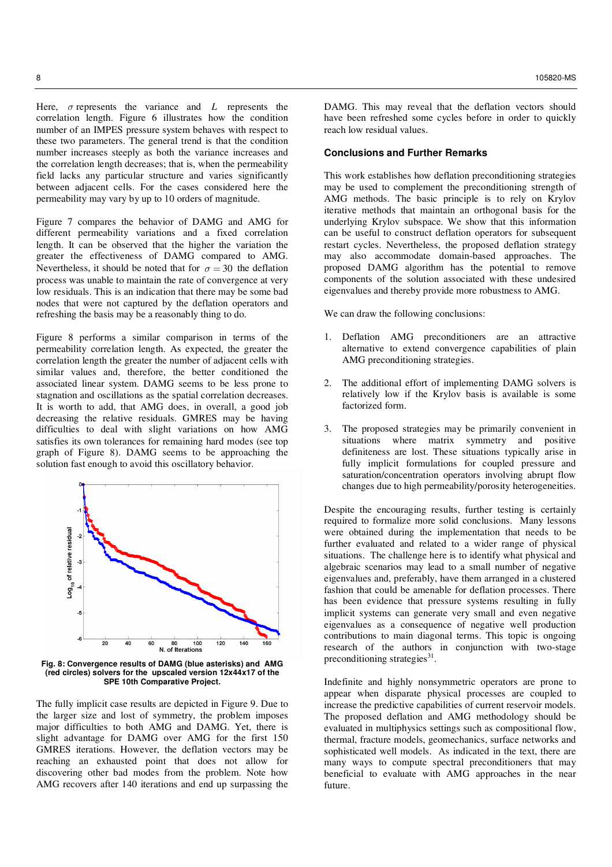Here,  $\sigma$  represents the variance and  $L$  represents the correlation length. Figure 6 illustrates how the condition number of an IMPES pressure system behaves with respect to these two parameters. The general trend is that the condition number increases steeply as both the variance increases and the correlation length decreases; that is, when the permeability field lacks any particular structure and varies significantly between adjacent cells. For the cases considered here the permeability may vary by up to 10 orders of magnitude.

Figure 7 compares the behavior of DAMG and AMG for different permeability variations and a fixed correlation length. It can be observed that the higher the variation the greater the effectiveness of DAMG compared to AMG. Nevertheless, it should be noted that for  $\sigma = 30$  the deflation process was unable to maintain the rate of convergence at very low residuals. This is an indication that there may be some bad nodes that were not captured by the deflation operators and refreshing the basis may be a reasonably thing to do.

Figure 8 performs a similar comparison in terms of the permeability correlation length. As expected, the greater the correlation length the greater the number of adjacent cells with similar values and, therefore, the better conditioned the associated linear system. DAMG seems to be less prone to stagnation and oscillations as the spatial correlation decreases. It is worth to add, that AMG does, in overall, a good job decreasing the relative residuals. GMRES may be having difficulties to deal with slight variations on how AMG satisfies its own tolerances for remaining hard modes (see top graph of Figure 8). DAMG seems to be approaching the solution fast enough to avoid this oscillatory behavior.



**Fig. 8: Convergence results of DAMG (blue asterisks) and AMG (red circles) solvers for the upscaled version 12x44x17 of the SPE 10th Comparative Project.** 

The fully implicit case results are depicted in Figure 9. Due to the larger size and lost of symmetry, the problem imposes major difficulties to both AMG and DAMG. Yet, there is slight advantage for DAMG over AMG for the first 150 GMRES iterations. However, the deflation vectors may be reaching an exhausted point that does not allow for discovering other bad modes from the problem. Note how AMG recovers after 140 iterations and end up surpassing the

DAMG. This may reveal that the deflation vectors should have been refreshed some cycles before in order to quickly reach low residual values.

# **Conclusions and Further Remarks**

This work establishes how deflation preconditioning strategies may be used to complement the preconditioning strength of AMG methods. The basic principle is to rely on Krylov iterative methods that maintain an orthogonal basis for the underlying Krylov subspace. We show that this information can be useful to construct deflation operators for subsequent restart cycles. Nevertheless, the proposed deflation strategy may also accommodate domain-based approaches. The proposed DAMG algorithm has the potential to remove components of the solution associated with these undesired eigenvalues and thereby provide more robustness to AMG.

We can draw the following conclusions:

- 1. Deflation AMG preconditioners are an attractive alternative to extend convergence capabilities of plain AMG preconditioning strategies.
- 2. The additional effort of implementing DAMG solvers is relatively low if the Krylov basis is available is some factorized form.
- 3. The proposed strategies may be primarily convenient in situations where matrix symmetry and positive definiteness are lost. These situations typically arise in fully implicit formulations for coupled pressure and saturation/concentration operators involving abrupt flow changes due to high permeability/porosity heterogeneities.

Despite the encouraging results, further testing is certainly required to formalize more solid conclusions. Many lessons were obtained during the implementation that needs to be further evaluated and related to a wider range of physical situations. The challenge here is to identify what physical and algebraic scenarios may lead to a small number of negative eigenvalues and, preferably, have them arranged in a clustered fashion that could be amenable for deflation processes. There has been evidence that pressure systems resulting in fully implicit systems can generate very small and even negative eigenvalues as a consequence of negative well production contributions to main diagonal terms. This topic is ongoing research of the authors in conjunction with two-stage preconditioning strategies $^{31}$ .

Indefinite and highly nonsymmetric operators are prone to appear when disparate physical processes are coupled to increase the predictive capabilities of current reservoir models. The proposed deflation and AMG methodology should be evaluated in multiphysics settings such as compositional flow, thermal, fracture models, geomechanics, surface networks and sophisticated well models. As indicated in the text, there are many ways to compute spectral preconditioners that may beneficial to evaluate with AMG approaches in the near future.